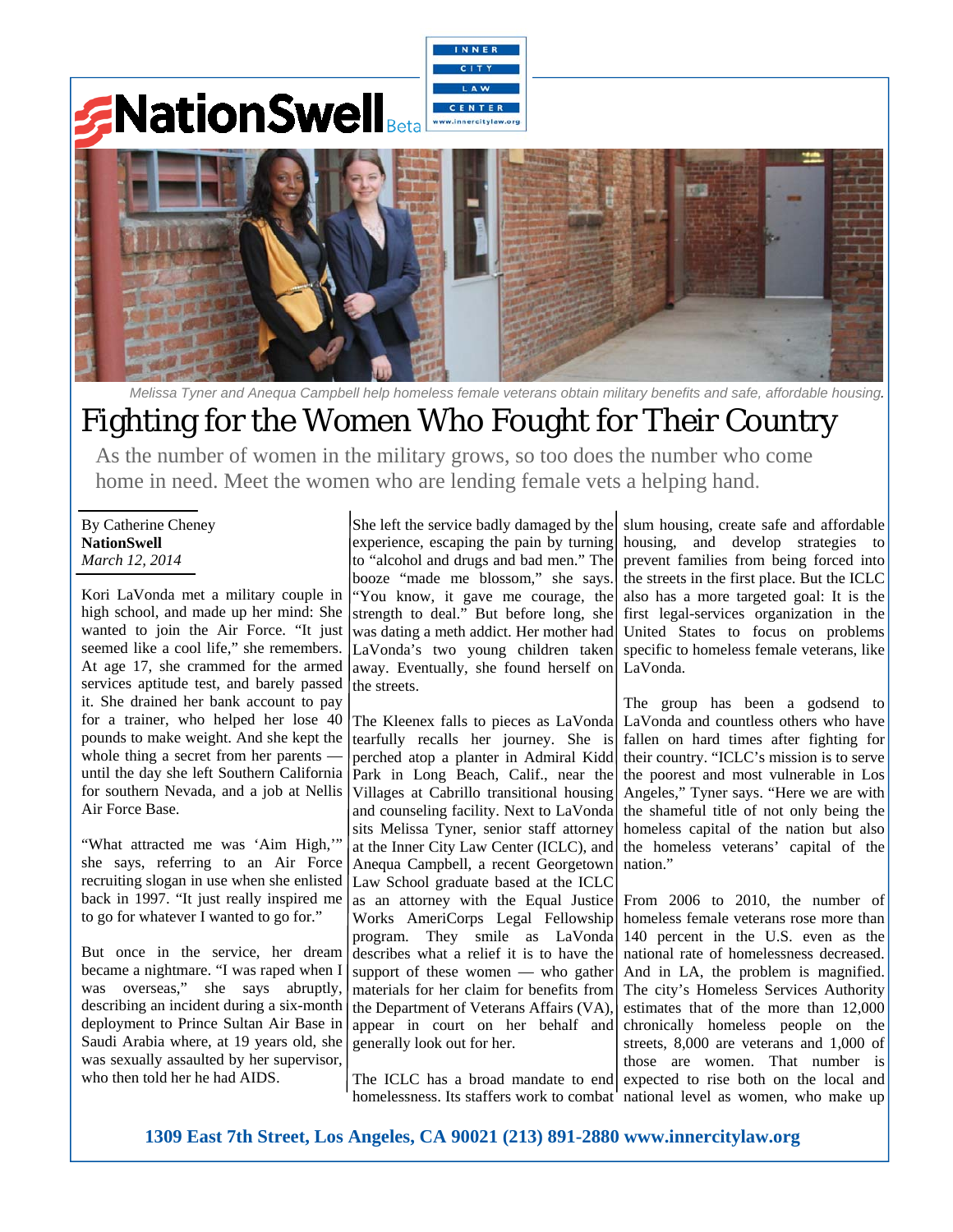## **NationSwell** w.innercitylaw.



*Melissa Tyner and Anequa Campbell help homeless female veterans obtain military benefits and safe, affordable housing.* 

## Fighting for the Women Who Fought for Their Country

As the number of women in the military grows, so too does the number who come home in need. Meet the women who are lending female vets a helping hand.

By Catherine Cheney **NationSwell**  *March 12, 2014*

Kori LaVonda met a military couple in high school, and made up her mind: She wanted to join the Air Force. "It just seemed like a cool life," she remembers. At age 17, she crammed for the armed services aptitude test, and barely passed it. She drained her bank account to pay for a trainer, who helped her lose 40 pounds to make weight. And she kept the whole thing a secret from her parents until the day she left Southern California for southern Nevada, and a job at Nellis Air Force Base.

"What attracted me was 'Aim High,'" she says, referring to an Air Force recruiting slogan in use when she enlisted back in 1997. "It just really inspired me to go for whatever I wanted to go for."

But once in the service, her dream became a nightmare. "I was raped when I was overseas," she says abruptly, describing an incident during a six-month deployment to Prince Sultan Air Base in Saudi Arabia where, at 19 years old, she was sexually assaulted by her supervisor, who then told her he had AIDS.

She left the service badly damaged by the experience, escaping the pain by turning to "alcohol and drugs and bad men." The booze "made me blossom," she says. "You know, it gave me courage, the strength to deal." But before long, she was dating a meth addict. Her mother had LaVonda's two young children taken away. Eventually, she found herself on the streets.

The Kleenex falls to pieces as LaVonda tearfully recalls her journey. She is perched atop a planter in Admiral Kidd Park in Long Beach, Calif., near the Villages at Cabrillo transitional housing and counseling facility. Next to LaVonda sits Melissa Tyner, senior staff attorney at the Inner City Law Center (ICLC), and Anequa Campbell, a recent Georgetown Law School graduate based at the ICLC as an attorney with the Equal Justice Works AmeriCorps Legal Fellowship program. They smile as LaVonda describes what a relief it is to have the support of these women — who gather materials for her claim for benefits from the Department of Veterans Affairs (VA), appear in court on her behalf and generally look out for her.

The ICLC has a broad mandate to end homelessness. Its staffers work to combat national level as women, who make up

slum housing, create safe and affordable housing, and develop strategies to prevent families from being forced into the streets in the first place. But the ICLC also has a more targeted goal: It is the first legal-services organization in the United States to focus on problems specific to homeless female veterans, like LaVonda.

The group has been a godsend to LaVonda and countless others who have fallen on hard times after fighting for their country. "ICLC's mission is to serve the poorest and most vulnerable in Los Angeles," Tyner says. "Here we are with the shameful title of not only being the homeless capital of the nation but also the homeless veterans' capital of the nation"

From 2006 to 2010, the number of homeless female veterans rose more than 140 percent in the U.S. even as the national rate of homelessness decreased. And in LA, the problem is magnified. The city's Homeless Services Authority estimates that of the more than 12,000 chronically homeless people on the streets, 8,000 are veterans and 1,000 of those are women. That number is expected to rise both on the local and

**1309 East 7th Street, Los Angeles, CA 90021 (213) 891-2880 www.innercitylaw.org**